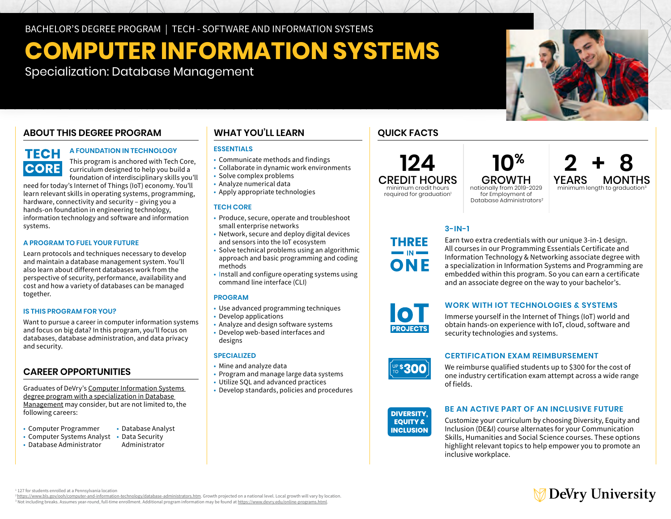BACHELOR'S DEGREE PROGRAM | TECH - SOFTWARE AND INFORMATION SYSTEMS

# **COMPUTER INFORMATION SYSTEMS**

Specialization: Database Management

### **ABOUT THIS DEGREE PROGRAM**

### **TECH CORE**

### **A FOUNDATION IN TECHNOLOGY**

This program is anchored with Tech Core, curriculum designed to help you build a foundation of interdisciplinary skills you'll

need for today's Internet of Things (IoT) economy. You'll learn relevant skills in operating systems, programming, hardware, connectivity and security – giving you a hands-on foundation in engineering technology, information technology and software and information systems.

### **A PROGRAM TO FUEL YOUR FUTURE**

Learn protocols and techniques necessary to develop and maintain a database management system. You'll also learn about different databases work from the perspective of security, performance, availability and cost and how a variety of databases can be managed together.

### **IS THIS PROGRAM FOR YOU?**

Want to pursue a career in computer information systems and focus on big data? In this program, you'll focus on databases, database administration, and data privacy and security.

### **CAREER OPPORTUNITIES**

Graduates of DeVry's [Computer Information Systems](https://www.devry.edu/online-programs/bachelors-degrees/computer-information-systems/database-management-specialization.html)  [degree program with a specialization in Database](https://www.devry.edu/online-programs/bachelors-degrees/computer-information-systems/database-management-specialization.html)  [Management](https://www.devry.edu/online-programs/bachelors-degrees/computer-information-systems/database-management-specialization.html) may consider, but are not limited to, the following careers:

- Computer Programmer
	- Database Analyst

#### • Computer Systems Analyst • Data Security • Database Administrator

### Administrator

### **WHAT YOU'LL LEARN**

### **ESSENTIALS**

- Communicate methods and findings
- Collaborate in dynamic work environments • Solve complex problems
- Analyze numerical data
- Apply appropriate technologies

### **TECH CORE**

- Produce, secure, operate and troubleshoot small enterprise networks
- Network, secure and deploy digital devices and sensors into the IoT ecosystem
- Solve technical problems using an algorithmic approach and basic programming and coding methods
- Install and configure operating systems using command line interface (CLI)

### **PROGRAM**

- Use advanced programming techniques
- Develop applications
- Analyze and design software systems
- Develop web-based interfaces and designs

### **SPECIALIZED**

- Mine and analyze data
- Program and manage large data systems
- Utilize SQL and advanced practices
- Develop standards, policies and procedures

### **QUICK FACTS**

**124**

CREDIT HOURS minimum credit hours required for graduation<sup>1</sup>

**YEARS MONTHS**<br>**Minimum length to graduation**<sup>3</sup>  **10%** GROWTH nationally from 2019-2029 for Employment of Database Administrators2

### **3-IN-1**

Earn two extra credentials with our unique 3-in-1 design. All courses in our Programming Essentials Certificate and Information Technology & Networking associate degree with a specialization in Information Systems and Programming are embedded within this program. So you can earn a certificate and an associate degree on the way to your bachelor's.



**THREE**  $\blacksquare$  IN  $\blacksquare$ ONF

### **WORK WITH IOT TECHNOLOGIES & SYSTEMS**

Immerse yourself in the Internet of Things (IoT) world and obtain hands-on experience with IoT, cloud, software and security technologies and systems.



### **CERTIFICATION EXAM REIMBURSEMENT**

We reimburse qualified students up to \$300 for the cost of one industry certification exam attempt across a wide range<br>- <u>Sidel</u> of fields.

### **DIVERSITY. EQUITY & INCLUSION**

### **BE AN ACTIVE PART OF AN INCLUSIVE FUTURE**

Customize your curriculum by choosing Diversity, Equity and Inclusion (DE&I) course alternates for your Communication Skills, Humanities and Social Science courses. These options highlight relevant topics to help empower you to promote an inclusive workplace.



<sup>2</sup>https://www.bls.gov/ooh/computer-and-information-technology/database-administrators.htm. Growth projected on a national level. Local growth will vary by location <sup>3</sup> Not including breaks. Assumes year-round, full-time enrollment. Additional program information may be found at <u>https://www.devry.edu/online-programs.html</u>.

## ∕ DeVry University



**2 + 8**